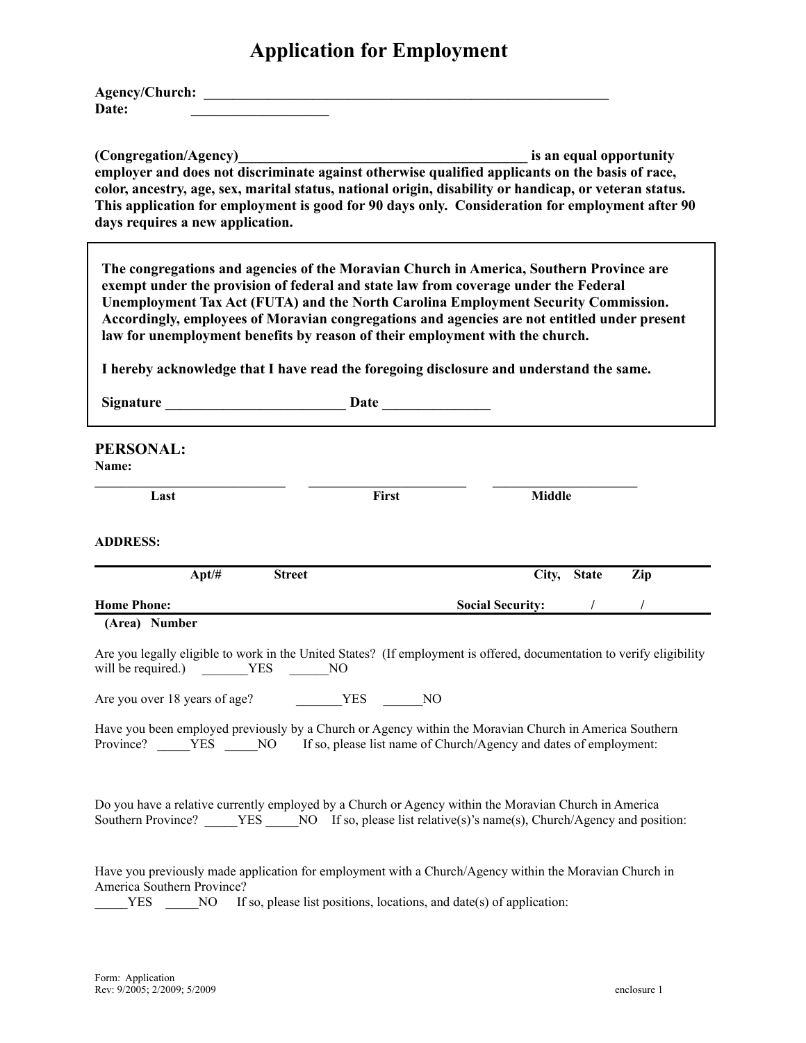## **Application for Employment**

| <b>Agency/Church:</b> |  |
|-----------------------|--|
| Date:                 |  |

**(Congregation/Agency)\_\_\_\_\_\_\_\_\_\_\_\_\_\_\_\_\_\_\_\_\_\_\_\_\_\_\_\_\_\_\_\_\_\_\_\_\_\_\_\_ is an equal opportunity employer and does not discriminate against otherwise qualified applicants on the basis of race, color, ancestry, age, sex, marital status, national origin, disability or handicap, or veteran status. This application for employment is good for 90 days only. Consideration for employment after 90 days requires a new application.**

**The congregations and agencies of the Moravian Church in America, Southern Province are exempt under the provision of federal and state law from coverage under the Federal Unemployment Tax Act (FUTA) and the North Carolina Employment Security Commission. Accordingly, employees of Moravian congregations and agencies are not entitled under present law for unemployment benefits by reason of their employment with the church.**

**I hereby acknowledge that I have read the foregoing disclosure and understand the same.**

| <b>Signature</b> Signature Signature Signature Signature Signature Signature Signature Signature Signature Signature Signature Signature Signature Signature Signature Signature Signature Signature Signature Signature Signature | <b>Date</b>                                                          |                    |              |     |
|------------------------------------------------------------------------------------------------------------------------------------------------------------------------------------------------------------------------------------|----------------------------------------------------------------------|--------------------|--------------|-----|
| <b>PERSONAL:</b><br>Name:                                                                                                                                                                                                          |                                                                      |                    |              |     |
| Last                                                                                                                                                                                                                               | First                                                                | <b>Middle</b>      |              |     |
| <b>ADDRESS:</b>                                                                                                                                                                                                                    |                                                                      |                    |              |     |
| $Apt/\#$<br><b>Street</b>                                                                                                                                                                                                          |                                                                      | City,              | <b>State</b> | Zip |
| <b>Home Phone:</b>                                                                                                                                                                                                                 |                                                                      | Social Security: / |              |     |
| Are you legally eligible to work in the United States? (If employment is offered, documentation to verify eligibility<br>will be required.) NO NO NO<br>Are you over 18 years of age? MO NO NO                                     |                                                                      |                    |              |     |
| Have you been employed previously by a Church or Agency within the Moravian Church in America Southern<br>Province? YES NO If so, please list name of Church/Agency and dates of employment:                                       |                                                                      |                    |              |     |
| Do you have a relative currently employed by a Church or Agency within the Moravian Church in America<br>Southern Province? _____YES _____NO If so, please list relative(s)'s name(s), Church/Agency and position:                 |                                                                      |                    |              |     |
| Have you previously made application for employment with a Church/Agency within the Moravian Church in<br>America Southern Province?<br><b>YES</b><br>NO                                                                           | If so, please list positions, locations, and date(s) of application: |                    |              |     |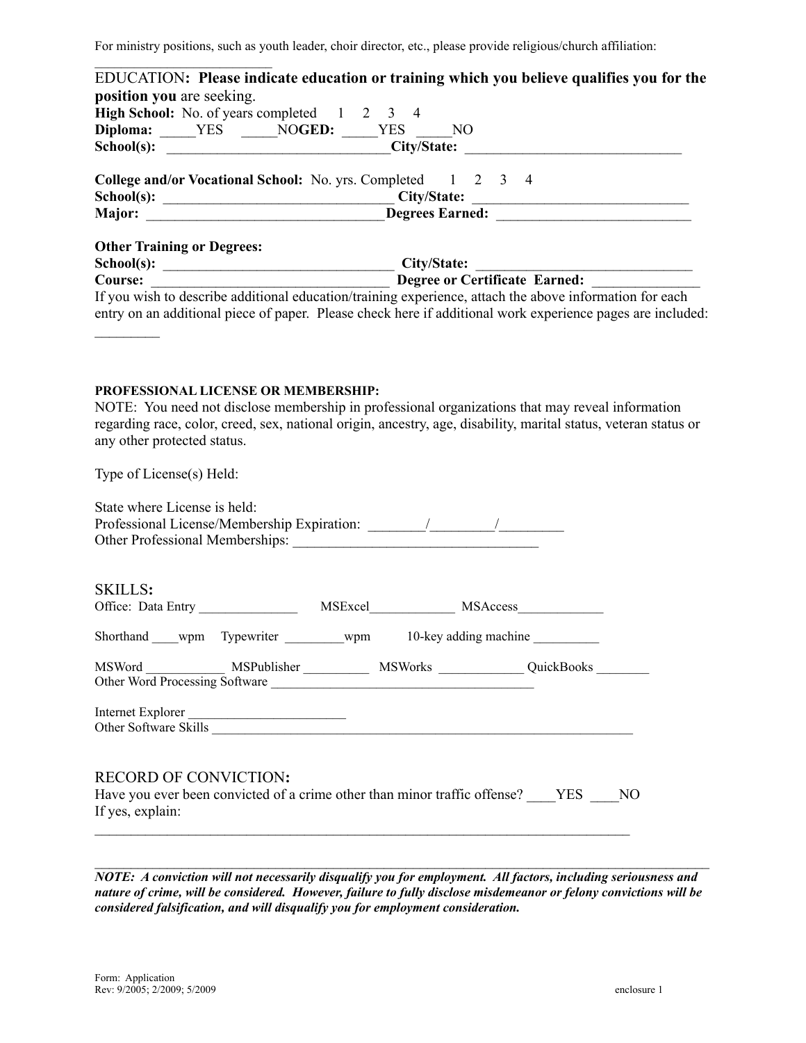For ministry positions, such as youth leader, choir director, etc., please provide religious/church affiliation:

|                                                                            | High School: No. of years completed 1 2 3 4                                                                                             |
|----------------------------------------------------------------------------|-----------------------------------------------------------------------------------------------------------------------------------------|
|                                                                            | Diploma: _____YES _____NOGED: ____YES ____NO                                                                                            |
|                                                                            | School(s): __________________________________City/State: ________________________                                                       |
|                                                                            | College and/or Vocational School: No. yrs. Completed 1 2 3 4                                                                            |
|                                                                            |                                                                                                                                         |
|                                                                            |                                                                                                                                         |
| <b>Other Training or Degrees:</b>                                          |                                                                                                                                         |
|                                                                            |                                                                                                                                         |
|                                                                            |                                                                                                                                         |
|                                                                            |                                                                                                                                         |
|                                                                            | entry on an additional piece of paper. Please check here if additional work experience pages are included:                              |
|                                                                            |                                                                                                                                         |
|                                                                            |                                                                                                                                         |
|                                                                            |                                                                                                                                         |
|                                                                            |                                                                                                                                         |
|                                                                            | PROFESSIONAL LICENSE OR MEMBERSHIP:<br>NOTE: You need not disclose membership in professional organizations that may reveal information |
|                                                                            | regarding race, color, creed, sex, national origin, ancestry, age, disability, marital status, veteran status or                        |
| any other protected status.                                                |                                                                                                                                         |
|                                                                            |                                                                                                                                         |
|                                                                            |                                                                                                                                         |
|                                                                            |                                                                                                                                         |
|                                                                            |                                                                                                                                         |
|                                                                            |                                                                                                                                         |
|                                                                            |                                                                                                                                         |
|                                                                            |                                                                                                                                         |
|                                                                            |                                                                                                                                         |
|                                                                            |                                                                                                                                         |
|                                                                            |                                                                                                                                         |
|                                                                            |                                                                                                                                         |
|                                                                            |                                                                                                                                         |
|                                                                            | Shorthand ____wpm Typewriter __________wpm 10-key adding machine __________                                                             |
|                                                                            |                                                                                                                                         |
|                                                                            | MSWord _____________ MSPublisher ___________ MSWorks ____________ QuickBooks ________                                                   |
|                                                                            | Other Word Processing Software                                                                                                          |
|                                                                            |                                                                                                                                         |
| Type of License(s) Held:<br>State where License is held:<br><b>SKILLS:</b> | Internet Explorer<br>Other Software Skills                                                                                              |
|                                                                            |                                                                                                                                         |
|                                                                            |                                                                                                                                         |
| <b>RECORD OF CONVICTION:</b>                                               | Have you ever been convicted of a crime other than minor traffic offense? YES NO                                                        |

*NOTE: A conviction will not necessarily disqualify you for employment. All factors, including seriousness and* nature of crime, will be considered. However, failure to fully disclose misdemeanor or felony convictions will be *considered falsification, and will disqualify you for employment consideration.*

 $\mathcal{L}_\text{max} = \mathcal{L}_\text{max} = \mathcal{L}_\text{max} = \mathcal{L}_\text{max} = \mathcal{L}_\text{max} = \mathcal{L}_\text{max} = \mathcal{L}_\text{max} = \mathcal{L}_\text{max} = \mathcal{L}_\text{max} = \mathcal{L}_\text{max} = \mathcal{L}_\text{max} = \mathcal{L}_\text{max} = \mathcal{L}_\text{max} = \mathcal{L}_\text{max} = \mathcal{L}_\text{max} = \mathcal{L}_\text{max} = \mathcal{L}_\text{max} = \mathcal{L}_\text{max} = \mathcal{$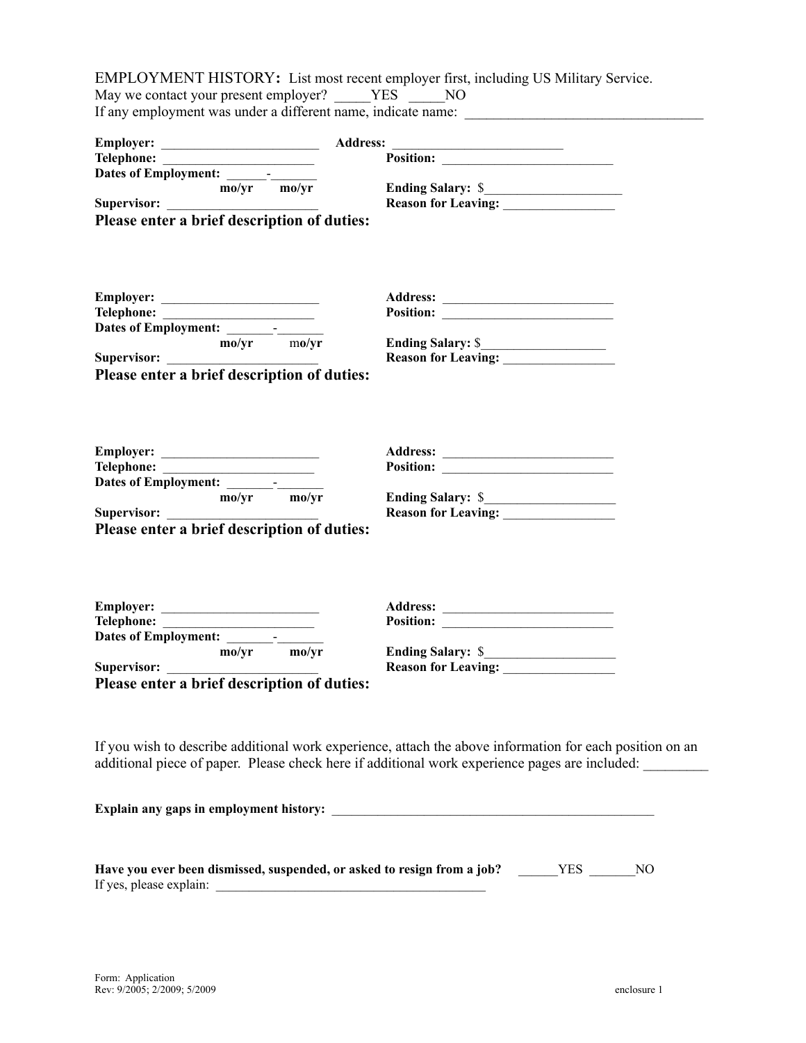EMPLOYMENT HISTORY**:** List most recent employer first, including US Military Service. May we contact your present employer? \_\_\_\_\_YES \_\_\_\_\_NO If any employment was under a different name, indicate name:

|                                                                                    | <b>Address:</b>                                                                                          |
|------------------------------------------------------------------------------------|----------------------------------------------------------------------------------------------------------|
|                                                                                    |                                                                                                          |
| Dates of Employment:                                                               |                                                                                                          |
| $\text{mo/yr}$ $\text{mo/yr}$                                                      |                                                                                                          |
|                                                                                    | Reason for Leaving:                                                                                      |
| Supervisor:<br>Please enter a brief description of duties:                         |                                                                                                          |
|                                                                                    |                                                                                                          |
|                                                                                    |                                                                                                          |
| Employer:                                                                          |                                                                                                          |
|                                                                                    |                                                                                                          |
|                                                                                    |                                                                                                          |
|                                                                                    |                                                                                                          |
|                                                                                    |                                                                                                          |
| Supervisor: $\frac{m o/yr}{m o/yr}$<br>Please enter a brief description of duties: |                                                                                                          |
|                                                                                    |                                                                                                          |
|                                                                                    |                                                                                                          |
|                                                                                    |                                                                                                          |
|                                                                                    | Position:                                                                                                |
|                                                                                    |                                                                                                          |
| Dates of Employment: mo/yr mo/yr                                                   |                                                                                                          |
|                                                                                    |                                                                                                          |
| Please enter a brief description of duties:                                        |                                                                                                          |
|                                                                                    |                                                                                                          |
|                                                                                    |                                                                                                          |
|                                                                                    |                                                                                                          |
| Employer:                                                                          |                                                                                                          |
|                                                                                    |                                                                                                          |
| $\frac{1}{\text{mo/yr}}$ $\frac{1}{\text{mo/yr}}$                                  |                                                                                                          |
|                                                                                    | Ending Salary: \$<br>Reason for Leaving:                                                                 |
| Supervisor:                                                                        |                                                                                                          |
| Please enter a brief description of duties:                                        |                                                                                                          |
|                                                                                    |                                                                                                          |
|                                                                                    | If you wish to describe additional work experience, attach the above information for each position on an |
|                                                                                    | additional piece of paper. Please check here if additional work experience pages are included:           |
|                                                                                    |                                                                                                          |
|                                                                                    |                                                                                                          |
|                                                                                    |                                                                                                          |
| If yes, please explain:                                                            |                                                                                                          |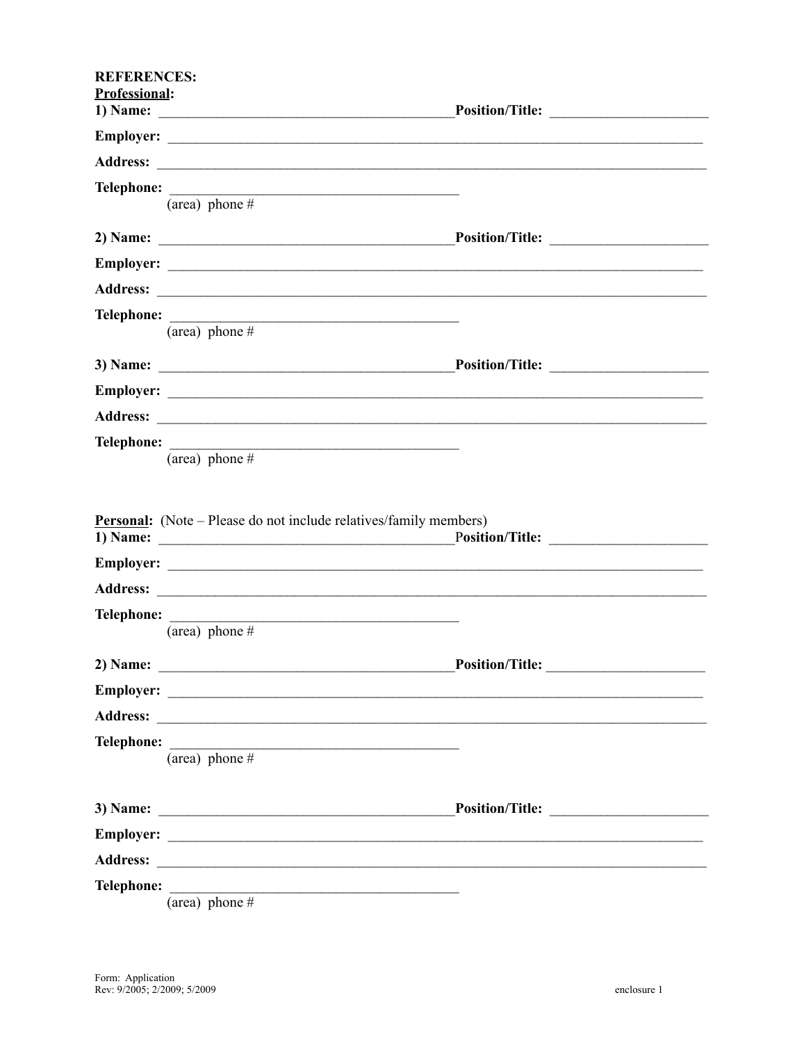| <b>REFERENCES:</b>   |                                                                                                                         |  |
|----------------------|-------------------------------------------------------------------------------------------------------------------------|--|
| <b>Professional:</b> |                                                                                                                         |  |
|                      |                                                                                                                         |  |
|                      |                                                                                                                         |  |
|                      | Telephone:                                                                                                              |  |
|                      | (area) phone $#$                                                                                                        |  |
|                      |                                                                                                                         |  |
|                      |                                                                                                                         |  |
|                      |                                                                                                                         |  |
|                      |                                                                                                                         |  |
|                      | (area) phone $#$                                                                                                        |  |
|                      |                                                                                                                         |  |
|                      |                                                                                                                         |  |
|                      |                                                                                                                         |  |
|                      |                                                                                                                         |  |
|                      | (area) phone $\overline{H}$                                                                                             |  |
|                      | <b>Personal:</b> (Note – Please do not include relatives/family members)                                                |  |
|                      |                                                                                                                         |  |
|                      |                                                                                                                         |  |
|                      |                                                                                                                         |  |
|                      | (area) phone $#$                                                                                                        |  |
|                      |                                                                                                                         |  |
| 2) Name:             | <u> 1989 - Johann John Stein, markin fan it fjort fan it fjort fan it fjort fan it fjort fan it fjort fan it fjort </u> |  |
|                      |                                                                                                                         |  |
|                      |                                                                                                                         |  |
| <b>Telephone:</b>    | $(\overline{\text{area}})$ phone #                                                                                      |  |
|                      |                                                                                                                         |  |
|                      |                                                                                                                         |  |
|                      |                                                                                                                         |  |
|                      |                                                                                                                         |  |
| <b>Telephone:</b>    |                                                                                                                         |  |
|                      | (area) phone $#$                                                                                                        |  |